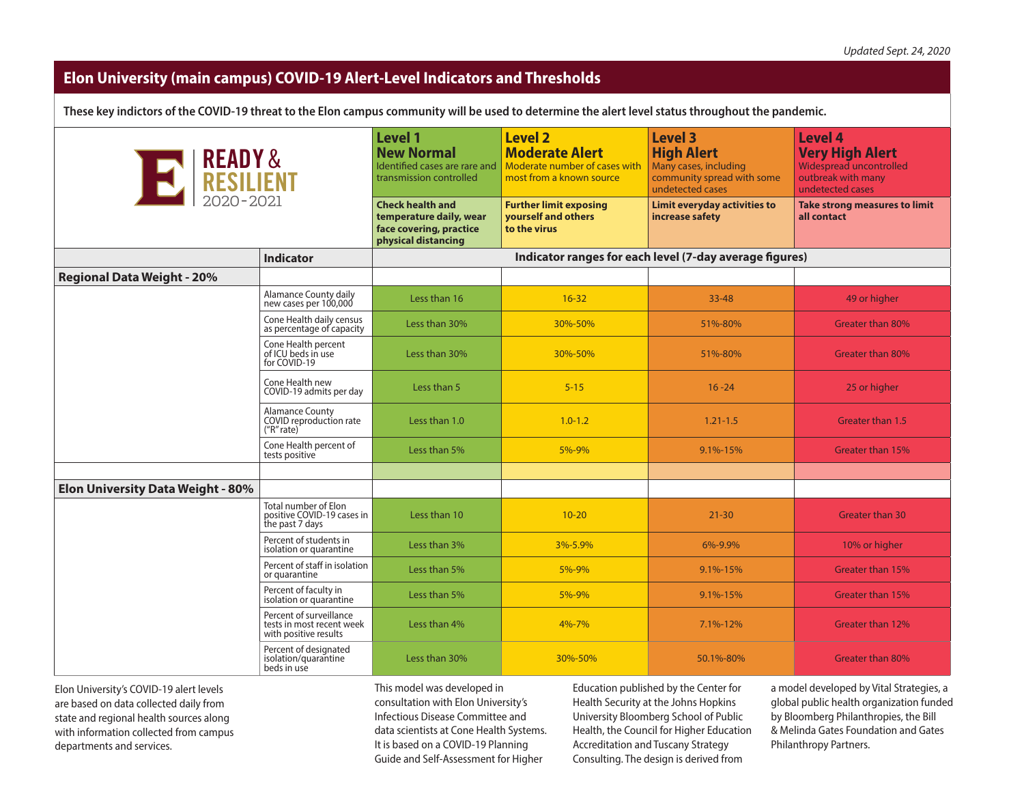## **Elon University (main campus) COVID-19 Alert-Level Indicators and Thresholds**

**These key indictors of the COVID-19 threat to the Elon campus community will be used to determine the alert level status throughout the pandemic.**

| E READY &                                |                                                                               | <b>Level 1</b><br><b>New Normal</b><br>Identified cases are rare and<br>transmission controlled<br><b>Check health and</b><br>temperature daily, wear<br>face covering, practice<br>physical distancing | <b>Level 2</b><br><b>Moderate Alert</b><br>Moderate number of cases with<br>most from a known source<br><b>Further limit exposing</b><br>vourself and others<br>to the virus | <b>Level 3</b><br><b>High Alert</b><br>Many cases, including<br>community spread with some<br>undetected cases<br><b>Limit everyday activities to</b><br>increase safety | <b>Level 4</b><br><b>Very High Alert</b><br>Widespread uncontrolled<br>outbreak with many<br>undetected cases<br><b>Take strong measures to limit</b><br>all contact |
|------------------------------------------|-------------------------------------------------------------------------------|---------------------------------------------------------------------------------------------------------------------------------------------------------------------------------------------------------|------------------------------------------------------------------------------------------------------------------------------------------------------------------------------|--------------------------------------------------------------------------------------------------------------------------------------------------------------------------|----------------------------------------------------------------------------------------------------------------------------------------------------------------------|
|                                          | <b>Indicator</b>                                                              |                                                                                                                                                                                                         |                                                                                                                                                                              | Indicator ranges for each level (7-day average figures)                                                                                                                  |                                                                                                                                                                      |
| <b>Regional Data Weight - 20%</b>        |                                                                               |                                                                                                                                                                                                         |                                                                                                                                                                              |                                                                                                                                                                          |                                                                                                                                                                      |
|                                          | Alamance County daily<br>new cases per 100,000                                | Less than 16                                                                                                                                                                                            | $16 - 32$                                                                                                                                                                    | $33 - 48$                                                                                                                                                                | 49 or higher                                                                                                                                                         |
|                                          | Cone Health daily census<br>as percentage of capacity                         | Less than 30%                                                                                                                                                                                           | 30%-50%                                                                                                                                                                      | 51%-80%                                                                                                                                                                  | Greater than 80%                                                                                                                                                     |
|                                          | Cone Health percent<br>of ICU beds in use<br>for COVID-19                     | Less than 30%                                                                                                                                                                                           | 30%-50%                                                                                                                                                                      | 51%-80%                                                                                                                                                                  | Greater than 80%                                                                                                                                                     |
|                                          | Cone Health new<br>COVID-19 admits per day                                    | Less than 5                                                                                                                                                                                             | $5 - 15$                                                                                                                                                                     | $16 - 24$                                                                                                                                                                | 25 or higher                                                                                                                                                         |
|                                          | <b>Alamance County</b><br>COVID reproduction rate<br>(''R'' rate)'            | Less than 1.0                                                                                                                                                                                           | $1.0 - 1.2$                                                                                                                                                                  | $1.21 - 1.5$                                                                                                                                                             | Greater than 1.5                                                                                                                                                     |
|                                          | Cone Health percent of<br>tests positive                                      | Less than 5%                                                                                                                                                                                            | 5%-9%                                                                                                                                                                        | $9.1\% - 15\%$                                                                                                                                                           | Greater than 15%                                                                                                                                                     |
|                                          |                                                                               |                                                                                                                                                                                                         |                                                                                                                                                                              |                                                                                                                                                                          |                                                                                                                                                                      |
| <b>Elon University Data Weight - 80%</b> |                                                                               |                                                                                                                                                                                                         |                                                                                                                                                                              |                                                                                                                                                                          |                                                                                                                                                                      |
|                                          | Total number of Elon<br>positive COVID-19 cases in<br>the past 7 days         | Less than 10                                                                                                                                                                                            | $10 - 20$                                                                                                                                                                    | $21 - 30$                                                                                                                                                                | <b>Greater than 30</b>                                                                                                                                               |
|                                          | Percent of students in<br>isolation or quarantine                             | Less than 3%                                                                                                                                                                                            | 3%-5.9%                                                                                                                                                                      | 6%-9.9%                                                                                                                                                                  | 10% or higher                                                                                                                                                        |
|                                          | Percent of staff in isolation<br>or quarantine                                | Less than 5%                                                                                                                                                                                            | 5%-9%                                                                                                                                                                        | $9.1\% - 15\%$                                                                                                                                                           | Greater than 15%                                                                                                                                                     |
|                                          | Percent of faculty in<br>isolation or quarantine                              | Less than 5%                                                                                                                                                                                            | 5%-9%                                                                                                                                                                        | $9.1\% - 15\%$                                                                                                                                                           | Greater than 15%                                                                                                                                                     |
|                                          | Percent of surveillance<br>tests in most recent week<br>with positive results | Less than 4%                                                                                                                                                                                            | 4%-7%                                                                                                                                                                        | $7.1\% - 12\%$                                                                                                                                                           | Greater than 12%                                                                                                                                                     |
|                                          | Percent of designated<br>isolation/quarantine<br>beds in use                  | Less than 30%                                                                                                                                                                                           | 30%-50%                                                                                                                                                                      | 50.1%-80%                                                                                                                                                                | Greater than 80%                                                                                                                                                     |

Elon University's COVID-19 alert levels are based on data collected daily from state and regional health sources along with information collected from campus departments and services.

This model was developed in consultation with Elon University's Infectious Disease Committee and data scientists at Cone Health Systems. It is based on a COVID-19 Planning Guide and Self-Assessment for Higher

Education published by the Center for Health Security at the Johns Hopkins University Bloomberg School of Public Health, the Council for Higher Education Accreditation and Tuscany Strategy Consulting. The design is derived from

a model developed by Vital Strategies, a global public health organization funded by Bloomberg Philanthropies, the Bill & Melinda Gates Foundation and Gates Philanthropy Partners.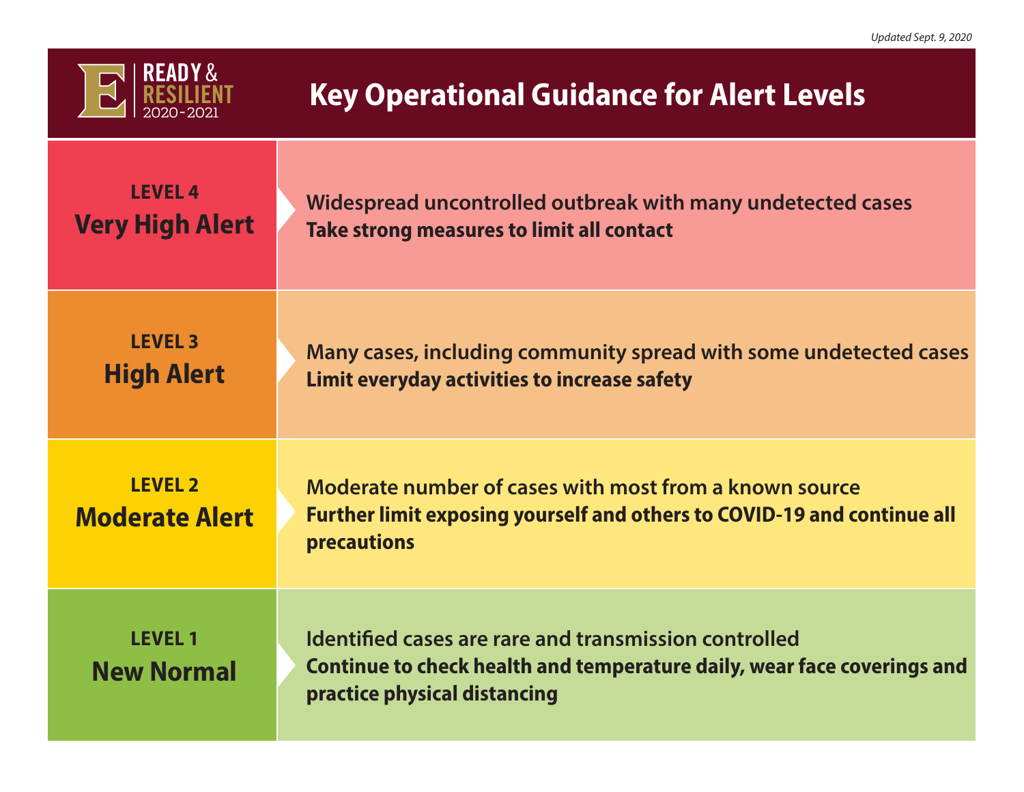

## **Key Operational Guidance for Alert Levels**

| <b>LEVEL 4</b>                          | Widespread uncontrolled outbreak with many undetected cases                                                                                                      |
|-----------------------------------------|------------------------------------------------------------------------------------------------------------------------------------------------------------------|
| <b>Very High Alert</b>                  | Take strong measures to limit all contact                                                                                                                        |
| <b>LEVEL 3</b>                          | Many cases, including community spread with some undetected cases                                                                                                |
| <b>High Alert</b>                       | Limit everyday activities to increase safety                                                                                                                     |
| <b>LEVEL 2</b><br><b>Moderate Alert</b> | Moderate number of cases with most from a known source<br><b>Further limit exposing yourself and others to COVID-19 and continue all</b><br>precautions          |
| <b>LEVEL 1</b><br><b>New Normal</b>     | Identified cases are rare and transmission controlled<br>Continue to check health and temperature daily, wear face coverings and<br>practice physical distancing |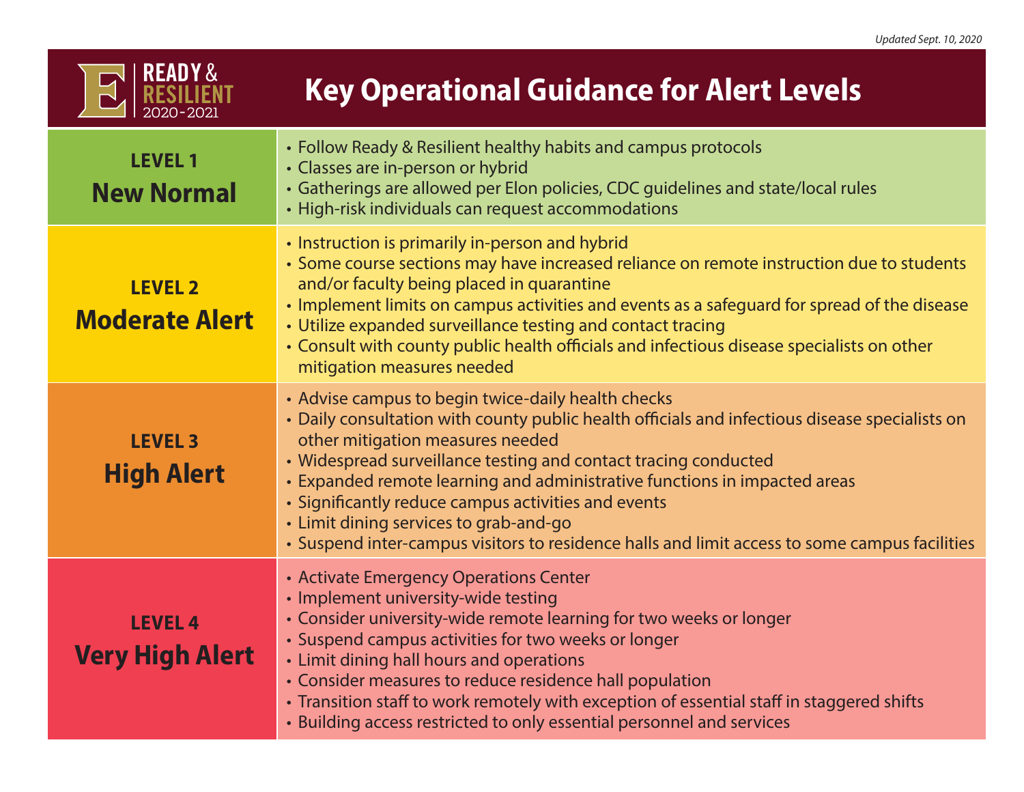## **Key Operational Guidance for Alert Levels**

| <b>LEVEL 1</b><br><b>New Normal</b>      | • Follow Ready & Resilient healthy habits and campus protocols<br>• Classes are in-person or hybrid<br>• Gatherings are allowed per Elon policies, CDC guidelines and state/local rules<br>• High-risk individuals can request accommodations                                                                                                                                                                                                                                                                                              |
|------------------------------------------|--------------------------------------------------------------------------------------------------------------------------------------------------------------------------------------------------------------------------------------------------------------------------------------------------------------------------------------------------------------------------------------------------------------------------------------------------------------------------------------------------------------------------------------------|
| <b>LEVEL 2</b><br><b>Moderate Alert</b>  | • Instruction is primarily in-person and hybrid<br>• Some course sections may have increased reliance on remote instruction due to students<br>and/or faculty being placed in quarantine<br>• Implement limits on campus activities and events as a safeguard for spread of the disease<br>• Utilize expanded surveillance testing and contact tracing<br>• Consult with county public health officials and infectious disease specialists on other<br>mitigation measures needed                                                          |
| <b>LEVEL 3</b><br><b>High Alert</b>      | • Advise campus to begin twice-daily health checks<br>• Daily consultation with county public health officials and infectious disease specialists on<br>other mitigation measures needed<br>• Widespread surveillance testing and contact tracing conducted<br>• Expanded remote learning and administrative functions in impacted areas<br>• Significantly reduce campus activities and events<br>• Limit dining services to grab-and-go<br>• Suspend inter-campus visitors to residence halls and limit access to some campus facilities |
| <b>LEVEL 4</b><br><b>Very High Alert</b> | • Activate Emergency Operations Center<br>• Implement university-wide testing<br>• Consider university-wide remote learning for two weeks or longer<br>• Suspend campus activities for two weeks or longer<br>• Limit dining hall hours and operations<br>• Consider measures to reduce residence hall population<br>• Transition staff to work remotely with exception of essential staff in staggered shifts<br>• Building access restricted to only essential personnel and services                                                    |

2020- 2021

READY & RESILIENT